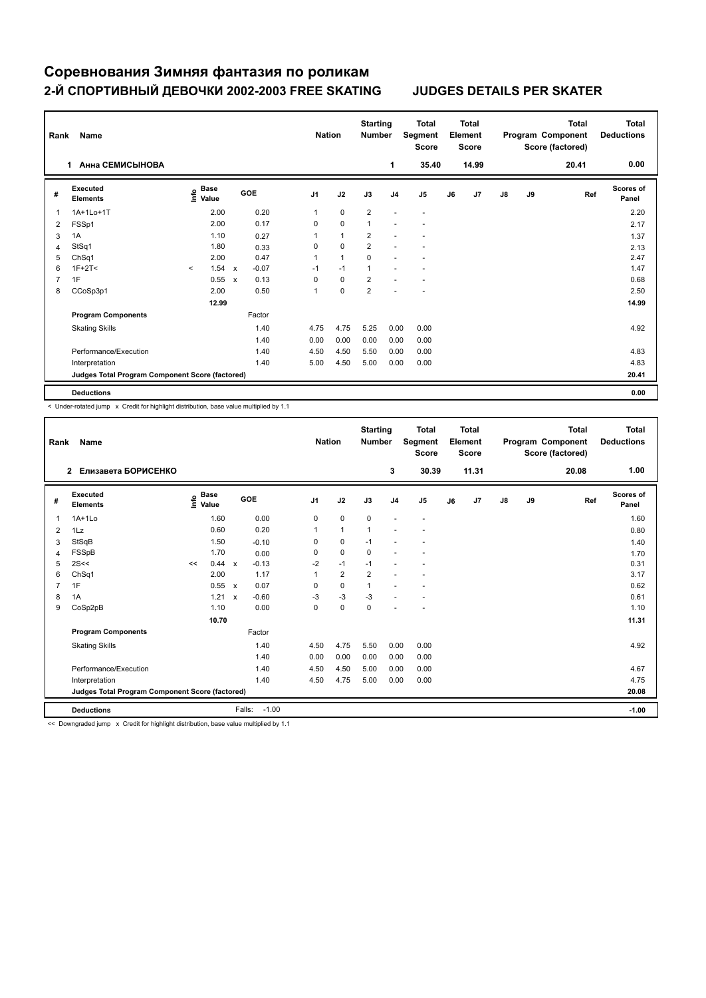## **Соревнования Зимняя фантазия по роликам 2-Й СПОРТИВНЫЙ ДЕВОЧКИ 2002-2003 FREE SKATING JUDGES DETAILS PER SKATER**

| Rank           | Name                                            |         |                                  |                           |         |                | <b>Nation</b>  | <b>Starting</b><br><b>Number</b> |                          | <b>Total</b><br>Segment<br><b>Score</b> |    | <b>Total</b><br>Element<br><b>Score</b> |               |    | <b>Total</b><br>Program Component<br>Score (factored) | Total<br><b>Deductions</b> |
|----------------|-------------------------------------------------|---------|----------------------------------|---------------------------|---------|----------------|----------------|----------------------------------|--------------------------|-----------------------------------------|----|-----------------------------------------|---------------|----|-------------------------------------------------------|----------------------------|
|                | Анна СЕМИСЫНОВА<br>1                            |         |                                  |                           |         |                |                |                                  | 1                        | 35.40                                   |    | 14.99                                   |               |    | 20.41                                                 | 0.00                       |
| #              | Executed<br><b>Elements</b>                     |         | <b>Base</b><br>o Base<br>⊆ Value |                           | GOE     | J <sub>1</sub> | J2             | J3                               | J <sub>4</sub>           | J <sub>5</sub>                          | J6 | J7                                      | $\mathsf{J}8$ | J9 | Ref                                                   | <b>Scores of</b><br>Panel  |
| $\mathbf 1$    | 1A+1Lo+1T                                       |         | 2.00                             |                           | 0.20    | 1              | 0              | $\overline{2}$                   | $\overline{\phantom{a}}$ | $\overline{\phantom{a}}$                |    |                                         |               |    |                                                       | 2.20                       |
| $\overline{2}$ | FSSp1                                           |         | 2.00                             |                           | 0.17    | 0              | $\pmb{0}$      | 1                                | ÷                        | $\overline{\phantom{a}}$                |    |                                         |               |    |                                                       | 2.17                       |
| 3              | 1A                                              |         | 1.10                             |                           | 0.27    | 1              | $\overline{1}$ | $\overline{\mathbf{c}}$          |                          | $\overline{\phantom{a}}$                |    |                                         |               |    |                                                       | 1.37                       |
| 4              | StSq1                                           |         | 1.80                             |                           | 0.33    | 0              | $\mathbf 0$    | $\overline{\mathbf{c}}$          | ÷                        | ٠                                       |    |                                         |               |    |                                                       | 2.13                       |
| 5              | ChSq1                                           |         | 2.00                             |                           | 0.47    | 1              | $\overline{1}$ | 0                                |                          | ٠                                       |    |                                         |               |    |                                                       | 2.47                       |
| 6              | $1F+2T2$                                        | $\prec$ | 1.54                             | $\boldsymbol{\mathsf{x}}$ | $-0.07$ | $-1$           | $-1$           | $\overline{1}$                   |                          |                                         |    |                                         |               |    |                                                       | 1.47                       |
| $\overline{7}$ | 1F                                              |         | 0.55                             | $\boldsymbol{\mathsf{x}}$ | 0.13    | 0              | $\mathbf 0$    | $\overline{\mathbf{c}}$          |                          |                                         |    |                                         |               |    |                                                       | 0.68                       |
| 8              | CCoSp3p1                                        |         | 2.00                             |                           | 0.50    | $\mathbf 1$    | $\mathbf 0$    | $\overline{\mathbf{c}}$          |                          |                                         |    |                                         |               |    |                                                       | 2.50                       |
|                |                                                 |         | 12.99                            |                           |         |                |                |                                  |                          |                                         |    |                                         |               |    |                                                       | 14.99                      |
|                | <b>Program Components</b>                       |         |                                  |                           | Factor  |                |                |                                  |                          |                                         |    |                                         |               |    |                                                       |                            |
|                | <b>Skating Skills</b>                           |         |                                  |                           | 1.40    | 4.75           | 4.75           | 5.25                             | 0.00                     | 0.00                                    |    |                                         |               |    |                                                       | 4.92                       |
|                |                                                 |         |                                  |                           | 1.40    | 0.00           | 0.00           | 0.00                             | 0.00                     | 0.00                                    |    |                                         |               |    |                                                       |                            |
|                | Performance/Execution                           |         |                                  |                           | 1.40    | 4.50           | 4.50           | 5.50                             | 0.00                     | 0.00                                    |    |                                         |               |    |                                                       | 4.83                       |
|                | Interpretation                                  |         |                                  |                           | 1.40    | 5.00           | 4.50           | 5.00                             | 0.00                     | 0.00                                    |    |                                         |               |    |                                                       | 4.83                       |
|                | Judges Total Program Component Score (factored) |         |                                  |                           |         |                |                |                                  |                          |                                         |    |                                         |               |    |                                                       | 20.41                      |
|                | <b>Deductions</b>                               |         |                                  |                           |         |                |                |                                  |                          |                                         |    |                                         |               |    |                                                       | 0.00                       |

< Under-rotated jump x Credit for highlight distribution, base value multiplied by 1.1

| Rank | Name                                            |      |                      |                           |                   | <b>Nation</b>  |                         | <b>Starting</b><br><b>Number</b> |                          | <b>Total</b><br>Segment<br><b>Score</b> |    | <b>Total</b><br>Element<br><b>Score</b> |    |    | <b>Total</b><br>Program Component<br>Score (factored) | <b>Total</b><br><b>Deductions</b> |
|------|-------------------------------------------------|------|----------------------|---------------------------|-------------------|----------------|-------------------------|----------------------------------|--------------------------|-----------------------------------------|----|-----------------------------------------|----|----|-------------------------------------------------------|-----------------------------------|
|      | Елизавета БОРИСЕНКО<br>$\overline{2}$           |      |                      |                           |                   |                |                         |                                  | 3                        | 30.39                                   |    | 11.31                                   |    |    | 20.08                                                 | 1.00                              |
| #    | Executed<br><b>Elements</b>                     | ١mfo | <b>Base</b><br>Value |                           | <b>GOE</b>        | J <sub>1</sub> | J2                      | J3                               | J <sub>4</sub>           | J <sub>5</sub>                          | J6 | J7                                      | J8 | J9 | Ref                                                   | <b>Scores of</b><br>Panel         |
| 1    | $1A+1L0$                                        |      | 1.60                 |                           | 0.00              | $\mathbf 0$    | 0                       | $\mathbf 0$                      | $\overline{\phantom{a}}$ | $\overline{a}$                          |    |                                         |    |    |                                                       | 1.60                              |
| 2    | 1Lz                                             |      | 0.60                 |                           | 0.20              |                | 1                       | 1                                |                          |                                         |    |                                         |    |    |                                                       | 0.80                              |
| 3    | StSqB                                           |      | 1.50                 |                           | $-0.10$           | 0              | 0                       | $-1$                             |                          |                                         |    |                                         |    |    |                                                       | 1.40                              |
| 4    | FSSpB                                           |      | 1.70                 |                           | 0.00              | $\Omega$       | 0                       | $\mathbf 0$                      |                          |                                         |    |                                         |    |    |                                                       | 1.70                              |
| 5    | 2S<<                                            | <<   | 0.44                 | $\mathsf{x}$              | $-0.13$           | $-2$           | $-1$                    | $-1$                             |                          |                                         |    |                                         |    |    |                                                       | 0.31                              |
| 6    | ChSq1                                           |      | 2.00                 |                           | 1.17              | 1              | $\overline{\mathbf{c}}$ | $\overline{2}$                   |                          |                                         |    |                                         |    |    |                                                       | 3.17                              |
| 7    | 1F                                              |      | 0.55 x               |                           | 0.07              | $\Omega$       | $\Omega$                | $\mathbf{1}$                     |                          |                                         |    |                                         |    |    |                                                       | 0.62                              |
| 8    | 1A                                              |      | 1.21                 | $\boldsymbol{\mathsf{x}}$ | $-0.60$           | -3             | $-3$                    | $-3$                             |                          |                                         |    |                                         |    |    |                                                       | 0.61                              |
| 9    | CoSp2pB                                         |      | 1.10                 |                           | 0.00              | 0              | $\Omega$                | $\Omega$                         |                          |                                         |    |                                         |    |    |                                                       | 1.10                              |
|      |                                                 |      | 10.70                |                           |                   |                |                         |                                  |                          |                                         |    |                                         |    |    |                                                       | 11.31                             |
|      | <b>Program Components</b>                       |      |                      |                           | Factor            |                |                         |                                  |                          |                                         |    |                                         |    |    |                                                       |                                   |
|      | <b>Skating Skills</b>                           |      |                      |                           | 1.40              | 4.50           | 4.75                    | 5.50                             | 0.00                     | 0.00                                    |    |                                         |    |    |                                                       | 4.92                              |
|      |                                                 |      |                      |                           | 1.40              | 0.00           | 0.00                    | 0.00                             | 0.00                     | 0.00                                    |    |                                         |    |    |                                                       |                                   |
|      | Performance/Execution                           |      |                      |                           | 1.40              | 4.50           | 4.50                    | 5.00                             | 0.00                     | 0.00                                    |    |                                         |    |    |                                                       | 4.67                              |
|      | Interpretation                                  |      |                      |                           | 1.40              | 4.50           | 4.75                    | 5.00                             | 0.00                     | 0.00                                    |    |                                         |    |    |                                                       | 4.75                              |
|      | Judges Total Program Component Score (factored) |      |                      |                           |                   |                |                         |                                  |                          |                                         |    | 20.08                                   |    |    |                                                       |                                   |
|      | <b>Deductions</b>                               |      |                      |                           | $-1.00$<br>Falls: |                |                         |                                  |                          |                                         |    |                                         |    |    |                                                       | $-1.00$                           |

<< Downgraded jump x Credit for highlight distribution, base value multiplied by 1.1